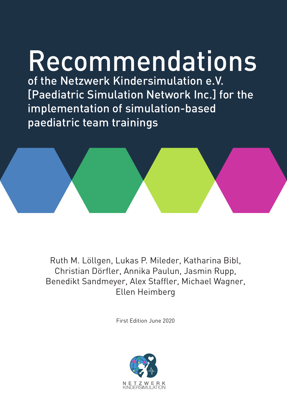# Recommendations

of the Netzwerk Kindersimulation e.V. [Paediatric Simulation Network Inc.] for the implementation of simulation-based paediatric team trainings



Ruth M. Löllgen, Lukas P. Mileder, Katharina Bibl, Christian Dörfler, Annika Paulun, Jasmin Rupp, Benedikt Sandmeyer, Alex Staffler, Michael Wagner, Ellen Heimberg

First Edition June 2020

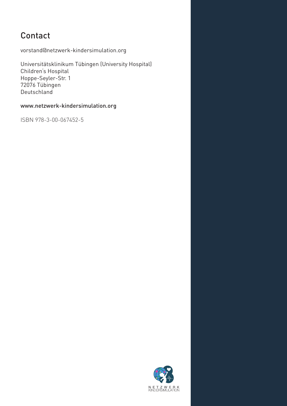# Contact

vorstand@netzwerk-kindersimulation.org

Universitätsklinikum Tübingen (University Hospital) Children's Hospital Hoppe-Seyler-Str. 1 72076 Tübingen Deutschland

# www.netzwerk-kindersimulation.org

ISBN 978-3-00-067452-5

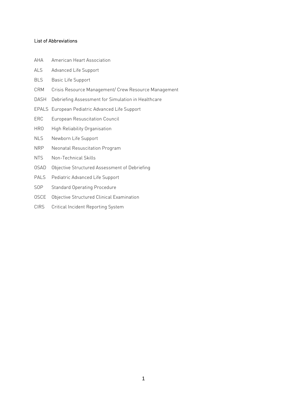### List of Abbreviations

- AHA American Heart Association
- ALS Advanced Life Support
- BLS Basic Life Support
- CRM Crisis Resource Management/ Crew Resource Management
- DASH Debriefing Assessment for Simulation in Healthcare
- EPALS European Pediatric Advanced Life Support
- ERC European Resuscitation Council
- HRO High Reliability Organisation
- NLS Newborn Life Support
- NRP Neonatal Resuscitation Program
- NTS Non-Technical Skills
- OSAD Objective Structured Assessment of Debriefing
- PALS Pediatric Advanced Life Support
- SOP Standard Operating Procedure
- OSCE Objective Structured Clinical Examination
- CIRS Critical Incident Reporting System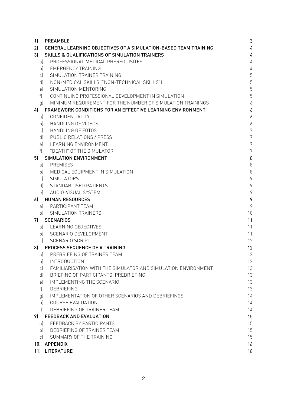| 1)           | 3<br><b>PREAMBLE</b>                                            |                |  |  |  |  |
|--------------|-----------------------------------------------------------------|----------------|--|--|--|--|
| 2)           | GENERAL LEARNING OBJECTIVES OF A SIMULATION-BASED TEAM TRAINING |                |  |  |  |  |
| 3)           | <b>SKILLS &amp; QUALIFICATIONS OF SIMULATION TRAINERS</b>       | 4              |  |  |  |  |
| al           | PROFESSIONAL MEDICAL PREREQUISITES                              | 4              |  |  |  |  |
| b            | <b>EMERGENCY TRAINING</b>                                       | 4              |  |  |  |  |
| c)           | SIMULATION TRAINER TRAINING                                     | 5              |  |  |  |  |
| d)           | NON-MEDICAL SKILLS ("NON-TECHNICAL SKILLS")                     | 5              |  |  |  |  |
| e)           | SIMULATION MENTORING                                            | 5              |  |  |  |  |
| f            | CONTINUING PROFESSIONAL DEVELOPMENT IN SIMULATION               | 5              |  |  |  |  |
| q)           | MINIMUM REQUIREMENT FOR THE NUMBER OF SIMULATION TRAININGS      | 6              |  |  |  |  |
| 4            | FRAMEWORK CONDITIONS FOR AN EFFECTIVE LEARNING ENVIRONMENT      | 6              |  |  |  |  |
| al           | CONFIDENTIALITY                                                 | 6              |  |  |  |  |
| b            | HANDLING OF VIDEOS                                              | 6              |  |  |  |  |
| c)           | HANDLING OF FOTOS                                               | 7              |  |  |  |  |
| d)           | PUBLIC RELATIONS / PRESS                                        | $\overline{7}$ |  |  |  |  |
| e)           | LEARNING ENVIRONMENT                                            | 7              |  |  |  |  |
| f            | "DEATH" OF THE SIMULATOR                                        | $\overline{7}$ |  |  |  |  |
| 5)           | SIMULATION ENVIRONMENT                                          | 8              |  |  |  |  |
| a)           | PREMISES                                                        | $\,8\,$        |  |  |  |  |
| bl           | MEDICAL EQUIPMENT IN SIMULATION                                 | 8              |  |  |  |  |
| c)           | SIMULATORS                                                      | 9              |  |  |  |  |
| d)           | STANDARDISED PATIENTS                                           | 9              |  |  |  |  |
| el           | AUDIO-VISUAL SYSTEM                                             | 9              |  |  |  |  |
| 61           | <b>HUMAN RESOURCES</b>                                          | 9              |  |  |  |  |
| al           | PARTICIPANT TEAM                                                | 9              |  |  |  |  |
| bl           | SIMULATION TRAINERS                                             | 10             |  |  |  |  |
| 71           | <b>SCENARIOS</b>                                                | 11             |  |  |  |  |
| al           | LEARNING OBJECTIVES                                             | 11             |  |  |  |  |
|              | b) SCENARIO DEVELOPMENT                                         | 11             |  |  |  |  |
| $\mathsf{C}$ | <b>SCENARIO SCRIPT</b>                                          | 12             |  |  |  |  |
| 8)           | PROCESS SEQUENCE OF A TRAINING                                  | 12             |  |  |  |  |
|              | a) PREBRIEFING OF TRAINER TEAM                                  | 12             |  |  |  |  |
| b            | <b>INTRODUCTION</b>                                             | 12             |  |  |  |  |
| c)           | FAMILIARISATION WITH THE SIMULATOR AND SIMULATION ENVIRONMENT   | 13             |  |  |  |  |
| d)           | BRIEFING OF PARTICIPANTS (PREBRIEFING)                          | 13             |  |  |  |  |
| e)           | IMPLEMENTING THE SCENARIO                                       | 13             |  |  |  |  |
| f            | <b>DEBRIEFING</b>                                               | 13             |  |  |  |  |
| g)           | IMPLEMENTATION OF OTHER SCENARIOS AND DEBRIEFINGS               | 14             |  |  |  |  |
| h)           | COURSE EVALUATION                                               | 14             |  |  |  |  |
| $\mathbf{i}$ | DEBRIEFING OF TRAINER TEAM                                      | 14             |  |  |  |  |
| 9)           | FEEDBACK AND EVALUATION                                         | 15             |  |  |  |  |
| al           | FEEDBACK BY PARTICIPANTS                                        | 15             |  |  |  |  |
| b)           | DEBRIEFING OF TRAINER TEAM                                      | 15             |  |  |  |  |
|              |                                                                 |                |  |  |  |  |
| c)           | SUMMARY OF THE TRAINING                                         | 15             |  |  |  |  |
|              | 10) APPENDIX                                                    | 16             |  |  |  |  |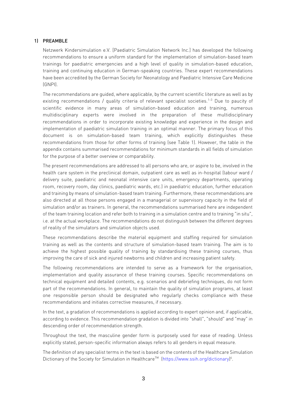#### <span id="page-4-0"></span>1) PREAMBLE

Netzwerk Kindersimulation e.V. [Paediatric Simulation Network Inc.] has developed the following recommendations to ensure a uniform standard for the implementation of simulation-based team trainings for paediatric emergencies and a high level of quality in simulation-based education, training and continuing education in German-speaking countries. These expert recommendations have been accredited by the German Society for Neonatology and Paediatric Intensive Care Medicine (GNPI).

The recommendations are guided, where applicable, by the current scientific literature as well as by existing recommendations / quality criteria of relevant specialist societies.<sup>1-3</sup> Due to paucity of scientific evidence in many areas of simulation-based education and training, numerous multidisciplinary experts were involved in the preparation of these multidisciplinary recommendations in order to incorporate existing knowledge and experience in the design and implementation of paediatric simulation training in an optimal manner. The primary focus of this document is on simulation-based team training, which explicitly distinguishes these recommendations from those for other forms of training (see Table 1). However, the table in the appendix contains summarised recommendations for minimum standards in all fields of simulation for the purpose of a better overview or comparability.

The present recommendations are addressed to all persons who are, or aspire to be, involved in the health care system in the preclinical domain, outpatient care as well as in-hospital (labour ward / delivery suite, paediatric and neonatal intensive care units, emergency departments, operating room, recovery room, day clinics, paediatric wards, etc.) in paediatric education, further education and training by means of simulation-based team training. Furthermore, these recommendations are also directed at all those persons engaged in a managerial or supervisory capacity in the field of simulation and/or as trainers. In general, the recommendations summarised here are independent of the team training location and refer both to training in a simulation centre and to training "in situ", i.e. at the actual workplace. The recommendations do not distinguish between the different degrees of reality of the simulators and simulation objects used.

These recommendations describe the material equipment and staffing required for simulation training as well as the contents and structure of simulation-based team training. The aim is to achieve the highest possible quality of training by standardising these training courses, thus improving the care of sick and injured newborns and children and increasing patient safety.

The following recommendations are intended to serve as a framework for the organisation, implementation and quality assurance of these training courses. Specific recommendations on technical equipment and detailed contents, e.g. scenarios and debriefing techniques, do not form part of the recommendations. In general, to maintain the quality of simulation programs, at least one responsible person should be designated who regularly checks compliance with these recommendations and initiates corrective measures, if necessary.

In the text, a gradation of recommendations is applied according to expert opinion and, if applicable, according to evidence. This recommendation gradation is divided into "shall", "should" and "may" in descending order of recommendation strength.

Throughout the text, the masculine gender form is purposely used for ease of reading. Unless explicitly stated, person-specific information always refers to all genders in equal measure.

The definition of any specialist terms in the text is based on the contents of the Healthcare Simulation Dictionary of the Society for Simulation in Healthcare™ [\(https://www.ssih.org/dictionary\)](https://www.ssih.org/dictionary)<sup>4</sup>.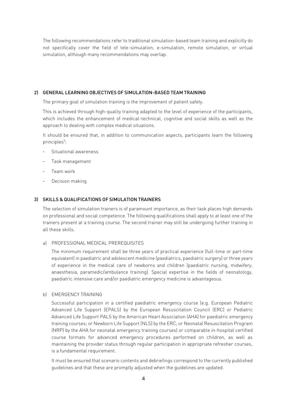The following recommendations refer to traditional simulation-based team training and explicitly do not specifically cover the field of tele-simulation, e-simulation, remote simulation, or virtual simulation, although many recommendations may overlap.

#### <span id="page-5-0"></span>2) GENERAL LEARNING OBJECTIVES OF SIMULATION-BASED TEAM TRAINING

The primary goal of simulation training is the improvement of patient safety.

This is achieved through high-quality training adapted to the level of experience of the participants, which includes the enhancement of medical-technical, cognitive and social skills as well as the approach to dealing with complex medical situations.

It should be ensured that, in addition to communication aspects, participants learn the following principles<sup>5</sup>:

- Situational awareness
- Task management
- Team work
- Decision making

#### <span id="page-5-1"></span>3) SKILLS & QUALIFICATIONS OF SIMULATION TRAINERS

The selection of simulation trainers is of paramount importance, as their task places high demands on professional and social competence. The following qualifications shall apply to at least one of the trainers present at a training course. The second trainer may still be undergoing further training in all these skills.

#### <span id="page-5-2"></span>a) PROFESSIONAL MEDICAL PREREQUISITES

The minimum requirement shall be three years of practical experience (full-time or part-time equivalent) in paediatric and adolescent medicine (paediatrics, paediatric surgery) or three years of experience in the medical care of newborns and children (paediatric nursing, midwifery, anaesthesia, paramedic/ambulance training). Special expertise in the fields of neonatology, paediatric intensive care and/or paediatric emergency medicine is advantageous.

#### <span id="page-5-3"></span>b) EMERGENCY TRAINING

Successful participation in a certified paediatric emergency course (e.g. European Pediatric Advanced Life Support (EPALS) by the European Resuscitation Council (ERC) or Pediatric Advanced Life Support PALS by the American Heart Association (AHA) for paediatric emergency training courses; or Newborn Life Support (NLS) by the ERC; or Neonatal Resuscitation Program (NRP) by the AHA for neonatal emergency training courses) or comparable in-hospital certified course formats for advanced emergency procedures performed on children, as well as maintaining the provider status through regular participation in appropriate refresher courses, is a fundamental requirement.

It must be ensured that scenario contents and debriefings correspond to the currently published guidelines and that these are promptly adjusted when the guidelines are updated.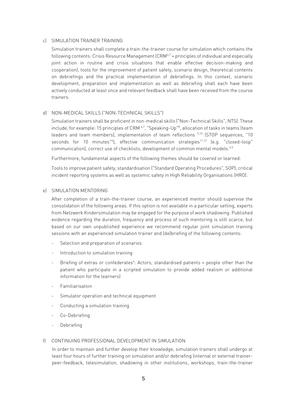#### <span id="page-6-0"></span>c) SIMULATION TRAINER TRAINING

Simulation trainers shall complete a train-the-trainer course for simulation which contains the following contents: Crisis Resource Management (CRM $^{\circ,7}$  = principles of individual and especially joint action in routine and crisis situations that enable effective decision-making and cooperation), tools for the improvement of patient safety, scenario design, theoretical contents on debriefings and the practical implementation of debriefings. In this context, scenario development, preparation and implementation as well as debriefing shall each have been actively conducted at least once and relevant feedback shall have been received from the course trainers.

#### <span id="page-6-1"></span>d) NON-MEDICAL SKILLS ("NON-TECHNICAL SKILLS")

Simulation trainers shall be proficient in non-medical skills ("Non-Technical Skills", NTS). These include, for example: 15 principles of CRM  $^{6.7}$ , "Speaking-Up" $^8$ , allocation of tasks in teams (team  $\,$ leaders and team members), implementation of team reflections <sup>9,10</sup> (STOP sequences, "10 seconds for 10 minutes"<sup>6</sup>), effective communication strategies<sup>11,12</sup> (e.g. "closed-loop" communication), correct use of checklists, development of common mental models.<sup>4,5</sup>

Furthermore, fundamental aspects of the following themes should be covered or learned:

Tools to improve patient safety, standardisation ("Standard Operating Procedures", SOP), critical incident reporting systems as well as systemic safety in High Reliability Organisations (HRO).

#### <span id="page-6-2"></span>e) SIMULATION MENTORING

After completion of a train-the-trainer course, an experienced mentor should supervise the consolidation of the following areas. If this option is not available in a particular setting, experts from Netzwerk Kindersimulation may be engaged for the purpose of work shadowing. Published evidence regarding the duration, frequency and process of such mentoring is still scarce, but based on our own unpublished experience we recommend regular joint simulation training sessions with an experienced simulation trainer and (de)briefing of the following contents:

- Selection and preparation of scenarios
- Introduction to simulation training
- Briefing of extras or confederates<sup>4</sup>: Actors, standardised patients = people other than the patient who participate in a scripted simulation to provide added realism or additional information for the learners)
- **Familiarisation**
- Simulator operation and technical equipment
- Conducting a simulation training
- Co-Debriefing
- **Debriefing**

#### <span id="page-6-3"></span>f) CONTINUING PROFESSIONAL DEVELOPMENT IN SIMULATION

In order to maintain and further develop their knowledge, simulation trainers shall undergo at least four hours of further training on simulation and/or debriefing (internal or external trainerpeer-feedback, telesimulation, shadowing in other institutions, workshops, train-the-trainer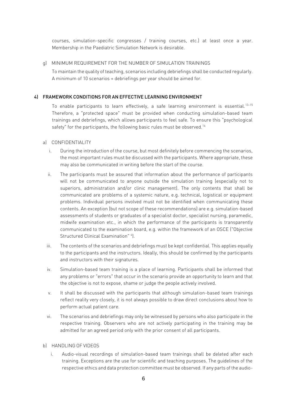courses, simulation-specific congresses / training courses, etc.) at least once a year. Membership in the Paediatric Simulation Network is desirable.

#### <span id="page-7-0"></span>g) MINIMUM REQUIREMENT FOR THE NUMBER OF SIMULATION TRAININGS

To maintain the quality of teaching, scenarios including debriefings shall be conducted regularly. A minimum of 10 scenarios + debriefings per year should be aimed for.

#### <span id="page-7-1"></span>4) FRAMEWORK CONDITIONS FOR AN EFFECTIVE LEARNING ENVIRONMENT

To enable participants to learn effectively, a safe learning environment is essential.<sup>13-15</sup> Therefore, a "protected space" must be provided when conducting simulation-based team trainings and debriefings, which allows participants to feel safe. To ensure this "psychological safety" for the participants, the following basic rules must be observed.<sup>16</sup>

#### <span id="page-7-2"></span>a) CONFIDENTIALITY

- i. During the introduction of the course, but most definitely before commencing the scenarios, the most important rules must be discussed with the participants. Where appropriate, these may also be communicated in writing before the start of the course.
- ii. The participants must be assured that information about the performance of participants will not be communicated to anyone outside the simulation training (especially not to superiors, administration and/or clinic management). The only contents that shall be communicated are problems of a systemic nature, e.g. technical, logistical or equipment problems. Individual persons involved must not be identified when communicating these contents. An exception (but not scope of these recommendations) are e.g. simulation-based assessments of students or graduates of a specialist doctor, specialist nursing, paramedic, midwife examination etc., in which the performance of the participants is transparently communicated to the examination board, e.g. within the framework of an OSCE ("Objective Structured Clinical Examination" 4).
- iii. The contents of the scenarios and debriefings must be kept confidential. This applies equally to the participants and the instructors. Ideally, this should be confirmed by the participants and instructors with their signatures.
- iv. Simulation-based team training is a place of learning. Participants shall be informed that any problems or "errors" that occur in the scenario provide an opportunity to learn and that the objective is not to expose, shame or judge the people actively involved.
- v. It shall be discussed with the participants that although simulation-based team trainings reflect reality very closely, it is not always possible to draw direct conclusions about how to perform actual patient care.
- vi. The scenarios and debriefings may only be witnessed by persons who also participate in the respective training. Observers who are not actively participating in the training may be admitted for an agreed period only with the prior consent of all participants.

#### <span id="page-7-3"></span>b) HANDLING OF VIDEOS

i. Audio-visual recordings of simulation-based team trainings shall be deleted after each training. Exceptions are the use for scientific and teaching purposes. The guidelines of the respective ethics and data protection committee must be observed. If any parts of the audio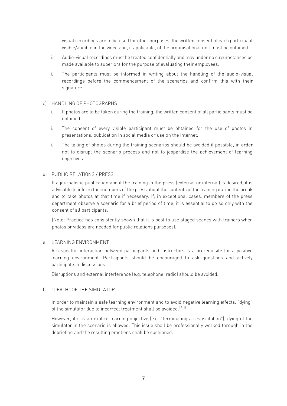visual recordings are to be used for other purposes, the written consent of each participant visible/audible in the video and, if applicable, of the organisational unit must be obtained.

- ii. Audio-visual recordings must be treated confidentially and may under no circumstances be made available to superiors for the purpose of evaluating their employees.
- iii. The participants must be informed in writing about the handling of the audio-visual recordings before the commencement of the scenarios and confirm this with their signature.

#### <span id="page-8-0"></span>c) HANDLING OF PHOTOGRAPHS

- i. If photos are to be taken during the training, the written consent of all participants must be obtained.
- ii. The consent of every visible participant must be obtained for the use of photos in presentations, publication in social media or use on the Internet.
- iii. The taking of photos during the training scenarios should be avoided if possible, in order not to disrupt the scenario process and not to jeopardise the achievement of learning objectives.

#### <span id="page-8-1"></span>d) PUBLIC RELATIONS / PRESS

If a journalistic publication about the training in the press (external or internal) is desired, it is advisable to inform the members of the press about the contents of the training during the break and to take photos at that time if necessary. If, in exceptional cases, members of the press department observe a scenario for a brief period of time, it is essential to do so only with the consent of all participants.

(Note: Practice has consistently shown that it is best to use staged scenes with trainers when photos or videos are needed for public relations purposes).

#### <span id="page-8-2"></span>e) LEARNING ENVIRONMENT

A respectful interaction between participants and instructors is a prerequisite for a positive learning environment. Participants should be encouraged to ask questions and actively participate in discussions.

Disruptions and external interference (e.g. telephone, radio) should be avoided.

#### <span id="page-8-3"></span>f) "DEATH" OF THE SIMULATOR

In order to maintain a safe learning environment and to avoid negative learning effects, "dying" of the simulator due to incorrect treatment shall be avoided.<sup>17-19</sup>

However, if it is an explicit learning objective (e.g. "terminating a resuscitation"), dying of the simulator in the scenario is allowed. This issue shall be professionally worked through in the debriefing and the resulting emotions shall be cushioned.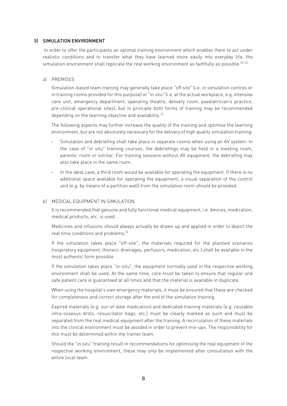#### <span id="page-9-0"></span>5) SIMULATION ENVIRONMENT

In order to offer the participants an optimal training environment which enables them to act under realistic conditions and to transfer what they have learned more easily into everyday life, the simulation environment shall replicate the real working environment as faithfully as possible.<sup>20–22</sup>

#### <span id="page-9-1"></span>a) PREMISES

Simulation-based team training may generally take place "off site" (i.e. in simulation centres or in training rooms provided for this purpose) or "in situ" (i.e. at the actual workplace, e.g. intensive care unit, emergency department, operating theatre, delivery room, paediatrician's practice, pre-clinical operational sites), but in principle both forms of training may be recommended depending on the learning objective and availability.<sup>23</sup>

The following aspects may further increase the quality of the training and optimise the learning environment, but are not absolutely necessary for the delivery of high quality simulation training:

- Simulation and debriefing shall take place in separate rooms when using an AV system. In the case of "in situ" training courses, the debriefings may be held in a meeting room, parents' room or similar. For training sessions without AV equipment, the debriefing may also take place in the same room.
- In the ideal case, a third room would be available for operating the equipment. If there is no additional space available for operating the equipment, a visual separation of the control unit (e.g. by means of a partition wall) from the simulation room should be provided.

#### <span id="page-9-2"></span>b) MEDICAL EQUIPMENT IN SIMULATION

It is recommended that genuine and fully functional medical equipment, i.e. devices, medication, medical products, etc. is used.

Medicines and infusions should always actually be drawn up and applied in order to depict the real time conditions and problems.<sup>24</sup>

If the simulation takes place "off-site", the materials required for the planned scenarios (respiratory equipment, thoracic drainages, perfusors, medication, etc.) shall be available in the most authentic form possible.

If the simulation takes place "in-situ", the equipment normally used in the respective working environment shall be used. At the same time, care must be taken to ensure that regular and safe patient care is guaranteed at all times and that the material is available in duplicate.

When using the hospital's own emergency materials, it must be ensured that these are checked for completeness and correct storage after the end of the simulation training.

Expired materials (e.g. out-of-date medication) and dedicated training materials (e.g. reusable intra-osseous drills, resuscitator bags, etc.) must be clearly marked as such and must be separated from the real medical equipment after the training. A recirculation of these materials into the clinical environment must be avoided in order to prevent mix-ups. The responsibility for this must be determined within the trainer team.

Should the "in situ" training result in recommendations for optimising the real equipment of the respective working environment, these may only be implemented after consultation with the entire local team.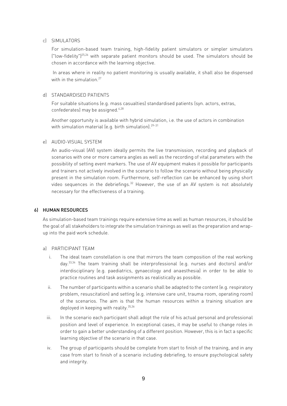#### <span id="page-10-0"></span>c) SIMULATORS

For simulation-based team training, high-fidelity patient simulators or simpler simulators ("low-fidelity")25,26 with separate patient monitors should be used. The simulators should be chosen in accordance with the learning objective.

In areas where in reality no patient monitoring is usually available, it shall also be dispensed with in the simulation.<sup>27</sup>

#### <span id="page-10-1"></span>d) STANDARDISED PATIENTS

For suitable situations (e.g. mass casualties) standardised patients (syn. actors, extras, confederates) may be assigned.4,28

Another opportunity is available with hybrid simulation, i.e. the use of actors in combination with simulation material (e.g. birth simulation).<sup>29-31</sup>

#### <span id="page-10-2"></span>e) AUDIO-VISUAL SYSTEM

An audio-visual (AV) system ideally permits the live transmission, recording and playback of scenarios with one or more camera angles as well as the recording of vital parameters with the possibility of setting event markers. The use of AV equipment makes it possible for participants and trainers not actively involved in the scenario to follow the scenario without being physically present in the simulation room. Furthermore, self-reflection can be enhanced by using short video sequences in the debriefings.<sup>32</sup> However, the use of an AV system is not absolutely necessary for the effectiveness of a training.

#### <span id="page-10-3"></span>6) HUMAN RESOURCES

As simulation-based team trainings require extensive time as well as human resources, it should be the goal of all stakeholders to integrate the simulation trainings as well as the preparation and wrapup into the paid work schedule.

#### <span id="page-10-4"></span>a) PARTICIPANT TEAM

- i. The ideal team constellation is one that mirrors the team composition of the real working day.33,34 The team training shall be interprofessional (e.g. nurses and doctors) and/or interdisciplinary (e.g. paediatrics, gynaecology and anaesthesia) in order to be able to practice routines and task assignments as realistically as possible.
- ii. The number of participants within a scenario shall be adapted to the content (e.g. respiratory problem, resuscitation) and setting (e.g. intensive care unit, trauma room, operating room) of the scenarios. The aim is that the human resources within a training situation are deployed in keeping with reality.<sup>35,36</sup>
- iii. In the scenario each participant shall adopt the role of his actual personal and professional position and level of experience. In exceptional cases, it may be useful to change roles in order to gain a better understanding of a different position. However, this is in fact a specific learning objective of the scenario in that case.
- iv. The group of participants should be complete from start to finish of the training, and in any case from start to finish of a scenario including debriefing, to ensure psychological safety and integrity.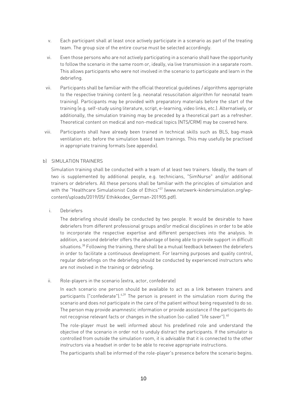- v. Each participant shall at least once actively participate in a scenario as part of the treating team. The group size of the entire course must be selected accordingly.
- vi. Even those persons who are not actively participating in a scenario shall have the opportunity to follow the scenario in the same room or, ideally, via live transmission in a separate room. This allows participants who were not involved in the scenario to participate and learn in the debriefing.
- vii. Participants shall be familiar with the official theoretical guidelines / algorithms appropriate to the respective training content (e.g. neonatal resuscitation algorithm for neonatal team training). Participants may be provided with preparatory materials before the start of the training (e.g. self-study using literature, script, e-learning, video links, etc.). Alternatively, or additionally, the simulation training may be preceded by a theoretical part as a refresher. Theoretical content on medical and non-medical topics (NTS/CRM) may be covered here.
- viii. Participants shall have already been trained in technical skills such as BLS, bag-mask ventilation etc. before the simulation based team trainings. This may usefully be practised in appropriate training formats (see appendix).

#### <span id="page-11-0"></span>b) SIMULATION TRAINERS

Simulation training shall be conducted with a team of at least two trainers. Ideally, the team of two is supplemented by additional people, e.g. technicians, "SimNurse" and/or additional trainers or debriefers. All these persons shall be familiar with the principles of simulation and with the "Healthcare Simulationist Code of Ethics"<sup>37</sup> (www.netzwerk-kindersimulation.org/wpcontent/uploads/2019/05/ Ethikkodex\_German-201905.pdf).

i. Debriefers

The debriefing should ideally be conducted by two people. It would be desirable to have debriefers from different professional groups and/or medical disciplines in order to be able to incorporate the respective expertise and different perspectives into the analysis. In addition, a second debriefer offers the advantage of being able to provide support in difficult situations.<sup>38</sup> Following the training, there shall be a mutual feedback between the debriefers in order to facilitate a continuous development. For learning purposes and quality control, regular debriefings on the debriefing should be conducted by experienced instructors who are not involved in the training or debriefing.

ii. Role-players in the scenario (extra, actor, confederate)

In each scenario one person should be available to act as a link between trainers and participants ("confederate").<sup>4,39</sup> The person is present in the simulation room during the scenario and does not participate in the care of the patient without being requested to do so. The person may provide anamnestic information or provide assistance if the participants do not recognise relevant facts or changes in the situation (so-called "life saver"). $40$ 

The role-player must be well informed about his predefined role and understand the objective of the scenario in order not to unduly distract the participants. If the simulator is controlled from outside the simulation room, it is advisable that it is connected to the other instructors via a headset in order to be able to receive appropriate instructions.

The participants shall be informed of the role-player's presence before the scenario begins.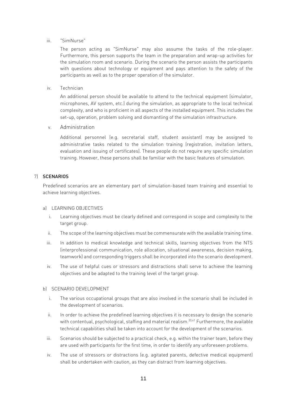#### iii. "SimNurse"

The person acting as "SimNurse" may also assume the tasks of the role-player. Furthermore, this person supports the team in the preparation and wrap-up activities for the simulation room and scenario. During the scenario the person assists the participants with questions about technology or equipment and pays attention to the safety of the participants as well as to the proper operation of the simulator.

iv. Technician

An additional person should be available to attend to the technical equipment (simulator, microphones, AV system, etc.) during the simulation, as appropriate to the local technical complexity, and who is proficient in all aspects of the installed equipment. This includes the set-up, operation, problem solving and dismantling of the simulation infrastructure.

v. Administration

Additional personnel (e.g. secretarial staff, student assistant) may be assigned to administrative tasks related to the simulation training (registration, invitation letters, evaluation and issuing of certificates). These people do not require any specific simulation training. However, these persons shall be familiar with the basic features of simulation.

#### <span id="page-12-0"></span>7) SCENARIOS

Predefined scenarios are an elementary part of simulation-based team training and essential to achieve learning objectives.

- <span id="page-12-1"></span>a) LEARNING OBJECTIVES
	- i. Learning objectives must be clearly defined and correspond in scope and complexity to the target group.
	- ii. The scope of the learning objectives must be commensurate with the available training time.
	- iii. In addition to medical knowledge and technical skills, learning objectives from the NTS (interprofessional communication, role allocation, situational awareness, decision making, teamwork) and corresponding triggers shall be incorporated into the scenario development.
	- iv. The use of helpful cues or stressors and distractions shall serve to achieve the learning objectives and be adapted to the training level of the target group.

#### <span id="page-12-2"></span>b) SCENARIO DEVELOPMENT

- i. The various occupational groups that are also involved in the scenario shall be included in the development of scenarios.
- ii. In order to achieve the predefined learning objectives it is necessary to design the scenario with contentual, psychological, staffing and material realism.<sup>20,41</sup> Furthermore, the available technical capabilities shall be taken into account for the development of the scenarios.
- iii. Scenarios should be subjected to a practical check, e.g. within the trainer team, before they are used with participants for the first time, in order to identify any unforeseen problems.
- iv. The use of stressors or distractions (e.g. agitated parents, defective medical equipment) shall be undertaken with caution, as they can distract from learning objectives.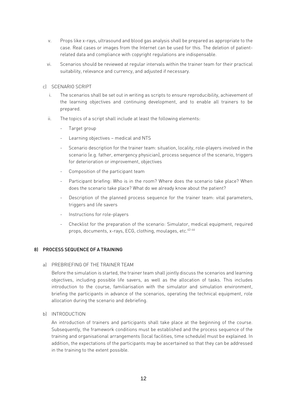- v. Props like x-rays, ultrasound and blood gas analysis shall be prepared as appropriate to the case. Real cases or images from the Internet can be used for this. The deletion of patientrelated data and compliance with copyright regulations are indispensable.
- vi. Scenarios should be reviewed at regular intervals within the trainer team for their practical suitability, relevance and currency, and adjusted if necessary.

#### <span id="page-13-0"></span>c) SCENARIO SCRIPT

- i. The scenarios shall be set out in writing as scripts to ensure reproducibility, achievement of the learning objectives and continuing development, and to enable all trainers to be prepared.
- ii. The topics of a script shall include at least the following elements:
	- Target group
	- Learning objectives medical and NTS
	- Scenario description for the trainer team: situation, locality, role-players involved in the scenario (e.g. father, emergency physician), process sequence of the scenario, triggers for deterioration or improvement, objectives
	- Composition of the participant team
	- Participant briefing: Who is in the room? Where does the scenario take place? When does the scenario take place? What do we already know about the patient?
	- Description of the planned process sequence for the trainer team: vital parameters, triggers and life savers
	- Instructions for role-players
	- Checklist for the preparation of the scenario: Simulator, medical equipment, required props, documents, x-rays, ECG, clothing, moulages, etc. $42-46$

#### <span id="page-13-2"></span><span id="page-13-1"></span>8) PROCESS SEQUENCE OF A TRAINING

#### a) PREBRIEFING OF THE TRAINER TEAM

Before the simulation is started, the trainer team shall jointly discuss the scenarios and learning objectives, including possible life savers, as well as the allocation of tasks. This includes introduction to the course, familiarisation with the simulator and simulation environment, briefing the participants in advance of the scenarios, operating the technical equipment, role allocation during the scenario and debriefing.

#### <span id="page-13-3"></span>b) INTRODUCTION

An introduction of trainers and participants shall take place at the beginning of the course. Subsequently, the framework conditions must be established and the process sequence of the training and organisational arrangements (local facilities, time schedule) must be explained. In addition, the expectations of the participants may be ascertained so that they can be addressed in the training to the extent possible.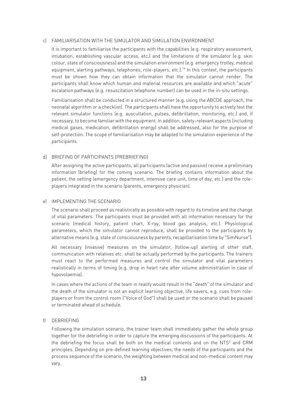#### <span id="page-14-0"></span>c) FAMILIARISATION WITH THE SIMULATOR AND SIMULATION ENVIRONMENT

It is important to familiarise the participants with the capabilities (e.g. respiratory assessment, intubation, establishing vascular access, etc.) and the limitations of the simulator (e.g. skin colour, state of consciousness) and the simulation environment (e.g. emergency trolley, medical equipment, alerting pathways, telephones, role-players, etc.).<sup>16</sup> In this context, the participants must be shown how they can obtain information that the simulator cannot render. The participants shall know which human and material resources are available and which "acute" escalation pathways (e.g. resuscitation telephone number) can be used in the in-situ settings.

Familiarisation shall be conducted in a structured manner (e.g. using the ABCDE approach, the neonatal algorithm or a checklist). The participants shall have the opportunity to actively test the relevant simulator functions (e.g. auscultation, pulses, defibrillation, monitoring, etc.) and, if necessary, to become familiar with the equipment. In addition, safety-relevant aspects (including medical gases, medication, defibrillation energy) shall be addressed, also for the purpose of self-protection. The scope of familiarisation may be adapted to the simulation experience of the participants.

#### <span id="page-14-1"></span>d) BRIEFING OF PARTICIPANTS (PREBRIEFING)

After assigning the active participants, all participants (active and passive) receive a preliminary information (briefing) for the coming scenario. The briefing contains information about the patient, the setting (emergency department, intensive care unit, time of day, etc.) and the roleplayers integrated in the scenario (parents, emergency physician).

#### <span id="page-14-2"></span>e) IMPLEMENTING THE SCENARIO

The scenario shall proceed as realistically as possible with regard to its timeline and the change of vital parameters. The participants must be provided with all information necessary for the scenario (medical history, patient chart, X-ray, blood gas analysis, etc.). Physiological parameters, which the simulator cannot reproduce, shall be provided to the participants by alternative means (e.g. state of consciousness by parents, recapillarisation time by "SimNurse").

All necessary (invasive) measures on the simulator, (follow-up) alerting of other staff, communication with relatives etc. shall be actually performed by the participants. The trainers must react to the performed measures and control the simulator and vital parameters realistically in terms of timing (e.g. drop in heart rate after volume administration in case of hypovolaemia).

In cases where the actions of the team in reality would result in the "death" of the simulator and the death of the simulator is not an explicit learning objective, life savers, e.g. cues from roleplayers or from the control room ("Voice of God") shall be used or the scenario shall be paused or terminated ahead of schedule.

#### <span id="page-14-3"></span>f) DEBRIEFING

Following the simulation scenario, the trainer team shall immediately gather the whole group together for the debriefing in order to capture the emerging discussions of the participants. At the debriefing the focus shall be both on the medical contents and on the  $NTS<sup>5</sup>$  and CRM principles. Depending on pre-defined learning objectives, the needs of the participants and the process sequence of the scenario, the weighting between medical and non-medical content may vary.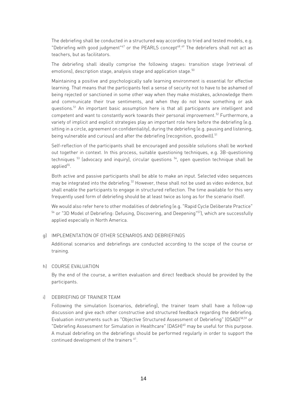The debriefing shall be conducted in a structured way according to tried and tested models, e.g. "Debriefing with good judgment" $47$  or the PEARLS concept $48.49$  The debriefers shall not act as teachers, but as facilitators.

The debriefing shall ideally comprise the following stages: transition stage (retrieval of emotions), description stage, analysis stage and application stage.<sup>50</sup>

Maintaining a positive and psychologically safe learning environment is essential for effective learning. That means that the participants feel a sense of security not to have to be ashamed of being rejected or sanctioned in some other way when they make mistakes, acknowledge them and communicate their true sentiments, and when they do not know something or ask questions.<sup>51</sup> An important basic assumption here is that all participants are intelligent and competent and want to constantly work towards their personal improvement.<sup>52</sup> Furthermore, a variety of implicit and explicit strategies play an important role here before the debriefing (e.g. sitting in a circle, agreement on confidentiality), during the debriefing (e.g. pausing and listening, being vulnerable and curious) and after the debriefing (recognition, goodwill).<sup>51</sup>

Self-reflection of the participants shall be encouraged and possible solutions shall be worked out together in context. In this process, suitable questioning techniques, e.g. 3B-questioning techniques<sup>53</sup> (advocacy and inquiry), circular questions<sup>54</sup>, open question technique shall be applied<sup>55</sup>.

Both active and passive participants shall be able to make an input. Selected video sequences may be integrated into the debriefing.<sup>32</sup> However, these shall not be used as video evidence, but shall enable the participants to engage in structured reflection. The time available for this very frequently used form of debriefing should be at least twice as long as for the scenario itself.

We would also refer here to other modalities of debriefing (e.g. "Rapid Cycle Deliberate Practice"  $^{\rm 56}$  or "3D Model of Debriefing: Defusing, Discovering, and Deepening" $^{\rm 57}$ ), which are successfully applied especially in North America.

#### <span id="page-15-0"></span>g) IMPLEMENTATION OF OTHER SCENARIOS AND DEBRIEFINGS

Additional scenarios and debriefings are conducted according to the scope of the course or training.

#### <span id="page-15-1"></span>h) COURSE EVALUATION

By the end of the course, a written evaluation and direct feedback should be provided by the participants.

#### <span id="page-15-2"></span>i) DEBRIEFING OF TRAINER TEAM

Following the simulation (scenarios, debriefing), the trainer team shall have a follow-up discussion and give each other constructive and structured feedback regarding the debriefing. Evaluation instruments such as "Objective Structured Assessment of Debriefing" (OSAD)<sup>58,59</sup> or "Debriefing Assessment for Simulation in Healthcare" (DASH)<sup>60</sup> may be useful for this purpose. A mutual debriefing on the debriefings should be performed regularly in order to support the continued development of the trainers <sup>61</sup>.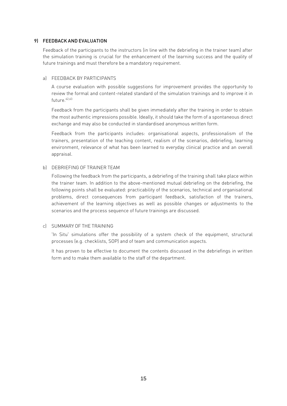#### <span id="page-16-0"></span>9) FEEDBACK AND EVALUATION

Feedback of the participants to the instructors (in line with the debriefing in the trainer team) after the simulation training is crucial for the enhancement of the learning success and the quality of future trainings and must therefore be a mandatory requirement.

#### <span id="page-16-1"></span>a) FEEDBACK BY PARTICIPANTS

A course evaluation with possible suggestions for improvement provides the opportunity to review the formal and content-related standard of the simulation trainings and to improve it in future.<sup>62,63</sup>

Feedback from the participants shall be given immediately after the training in order to obtain the most authentic impressions possible. Ideally, it should take the form of a spontaneous direct exchange and may also be conducted in standardised anonymous written form.

Feedback from the participants includes: organisational aspects, professionalism of the trainers, presentation of the teaching content, realism of the scenarios, debriefing, learning environment, relevance of what has been learned to everyday clinical practice and an overall appraisal.

#### <span id="page-16-2"></span>b) DEBRIEFING OF TRAINER TEAM

Following the feedback from the participants, a debriefing of the training shall take place within the trainer team. In addition to the above-mentioned mutual debriefing on the debriefing, the following points shall be evaluated: practicability of the scenarios, technical and organisational problems, direct consequences from participant feedback, satisfaction of the trainers, achievement of the learning objectives as well as possible changes or adjustments to the scenarios and the process sequence of future trainings are discussed.

#### <span id="page-16-3"></span>c) SUMMARY OF THE TRAINING

'In Situ' simulations offer the possibility of a system check of the equipment, structural processes (e.g. checklists, SOP) and of team and communication aspects.

It has proven to be effective to document the contents discussed in the debriefings in written form and to make them available to the staff of the department.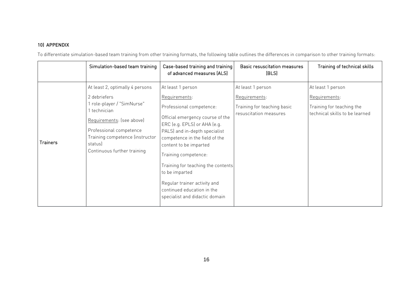## 10) APPENDIX

To differentiate simulation-based team training from other training formats, the following table outlines the differences in comparison to other training formats:

<span id="page-17-0"></span>

|                 | Simulation-based team training                                                                                                                                                                      | Case-based training and training<br>of advanced measures (ALS)                                                                                                                                         | <b>Basic resuscitation measures</b><br>(BLS)                                                | Training of technical skills                                                                      |
|-----------------|-----------------------------------------------------------------------------------------------------------------------------------------------------------------------------------------------------|--------------------------------------------------------------------------------------------------------------------------------------------------------------------------------------------------------|---------------------------------------------------------------------------------------------|---------------------------------------------------------------------------------------------------|
| <b>Trainers</b> | At least 2, optimally 4 persons<br>2 debriefers<br>1 role-player / "SimNurse"<br>1 technician<br>Requirements: (see above)<br>Professional competence<br>Training competence (instructor<br>status) | At least 1 person<br>Requirements:<br>Professional competence:<br>Official emergency course of the<br>ERC (e.g. EPLS) or AHA (e.g.<br>PALS) and in-depth specialist<br>competence in the field of the  | At least 1 person<br>Requirements:<br>Training for teaching basic<br>resuscitation measures | At least 1 person<br>Requirements:<br>Training for teaching the<br>technical skills to be learned |
|                 | Continuous further training                                                                                                                                                                         | content to be imparted<br>Training competence:<br>Training for teaching the contents<br>to be imparted<br>Regular trainer activity and<br>continued education in the<br>specialist and didactic domain |                                                                                             |                                                                                                   |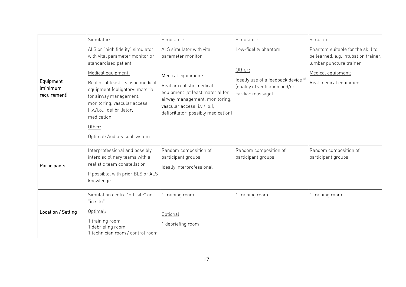|                                              | Simulator:                                                                                                                                                                                                                                                                                                                                  | Simulator:                                                                                                                                                                                                                                   | Simulator:                                                                                                                             | Simulator:                                                                                                                                           |
|----------------------------------------------|---------------------------------------------------------------------------------------------------------------------------------------------------------------------------------------------------------------------------------------------------------------------------------------------------------------------------------------------|----------------------------------------------------------------------------------------------------------------------------------------------------------------------------------------------------------------------------------------------|----------------------------------------------------------------------------------------------------------------------------------------|------------------------------------------------------------------------------------------------------------------------------------------------------|
| Equipment<br><i>(minimum</i><br>requirement) | ALS or "high fidelity" simulator<br>with vital parameter monitor or<br>standardised patient<br>Medical equipment:<br>Real or at least realistic medical<br>equipment (obligatory: material<br>for airway management,<br>monitoring, vascular access<br>[i.v./i.o.], defibrillator,<br>medication)<br>Other:<br>Optimal: Audio-visual system | ALS simulator with vital<br>parameter monitor<br>Medical equipment:<br>Real or realistic medical<br>equipment (at least material for<br>airway management, monitoring,<br>vascular access [i.v./i.o.]<br>defibrillator, possibly medication) | Low-fidelity phantom<br>Other:<br>Ideally use of a feedback device <sup>64</sup><br>(quality of ventilation and/or<br>cardiac massage) | Phantom suitable for the skill to<br>be learned, e.g. intubation trainer,<br>lumbar puncture trainer<br>Medical equipment:<br>Real medical equipment |
| Participants                                 | Interprofessional and possibly<br>interdisciplinary teams with a<br>realistic team constellation<br>If possible, with prior BLS or ALS<br>knowledge                                                                                                                                                                                         | Random composition of<br>participant groups<br>Ideally interprofessional                                                                                                                                                                     | Random composition of<br>participant groups                                                                                            | Random composition of<br>participant groups                                                                                                          |
| Location / Setting                           | Simulation centre "off-site" or<br>"in situ"<br>Optimal:<br>1 training room<br>1 debriefing room<br>1 technician room / control room                                                                                                                                                                                                        | 1 training room<br>Optional:<br>debriefing room                                                                                                                                                                                              | 1 training room                                                                                                                        | training room                                                                                                                                        |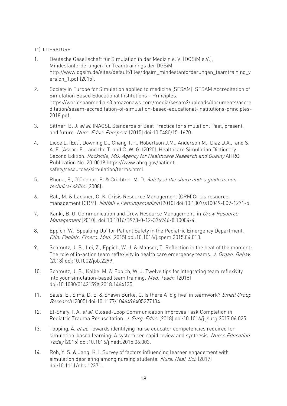#### <span id="page-19-0"></span>11) LITERATURE

- 1. Deutsche Gesellschaft für Simulation in der Medizin e. V. (DGSiM e.V.), Mindestanforderungen für Teamtrainings der DGSiM. http://www.dgsim.de/sites/default/files/dgsim\_mindestanforderungen\_teamtraining\_v ersion\_1.pdf (2015).
- 2. Society in Europe for Simulation applied to medicine (SESAM). SESAM Accreditation of Simulation Based Educational Institutions – Principles. https://worldspanmedia.s3.amazonaws.com/media/sesam2/uploads/documents/accre ditation/sesam-accreditation-of-simulation-based-educational-institutions-principles-2018.pdf.
- 3. Sittner, B. J. et al. INACSL Standards of Best Practice for simulation: Past, present, and future. Nurs. Educ. Perspect. (2015) doi:10.5480/15-1670.
- 4. Lioce L. (Ed.), Downing D., Chang T.P., Robertson J.M., Anderson M., Diaz D.A., and S. A. E. (Assoc. E. . and the T. and C. W. G. (2020). Healthcare Simulation Dictionary – Second Edition. Rockville, MD: Agency for Healthcare Research and Quality AHRQ Publication No. 20-0019 https://www.ahrq.gov/patientsafety/resources/simulation/terms.html.
- 5. Rhona, F., O'Connor, P. & Crichton, M. D. Safety at the sharp end: a quide to nontechnical skills. (2008).
- 6. Rall, M. & Lackner, C. K. Crisis Resource Management (CRM)Crisis resource management (CRM). Notfall + Rettungsmedizin (2010) doi:10.1007/s10049-009-1271-5.
- 7. Kanki, B. G. Communication and Crew Resource Management. in Crew Resource Management (2010). doi:10.1016/B978-0-12-374946-8.10004-4.
- 8. Eppich, W. 'Speaking Up' for Patient Safety in the Pediatric Emergency Department. Clin. Pediatr. Emerg. Med. (2015) doi:10.1016/j.cpem.2015.04.010.
- 9. Schmutz, J. B., Lei, Z., Eppich, W. J. & Manser, T. Reflection in the heat of the moment: The role of in-action team reflexivity in health care emergency teams. J. Organ. Behav. (2018) doi:10.1002/job.2299.
- 10. Schmutz, J. B., Kolbe, M. & Eppich, W. J. Twelve tips for integrating team reflexivity into your simulation-based team training. Med. Teach. (2018) doi:10.1080/0142159X.2018.1464135.
- 11. Salas, E., Sims, D. E. & Shawn Burke, C. Is there A 'big five' in teamwork? Small Group Research (2005) doi:10.1177/1046496405277134.
- 12. El-Shafy, I. A. et al. Closed-Loop Communication Improves Task Completion in Pediatric Trauma Resuscitation. J. Surg. Educ. (2018) doi:10.1016/j.jsurg.2017.06.025.
- 13. Topping, A. et al. Towards identifying nurse educator competencies required for simulation-based learning: A systemised rapid review and synthesis. Nurse Education Today (2015) doi:10.1016/j.nedt.2015.06.003.
- 14. Roh, Y. S. & Jang, K. I. Survey of factors influencing learner engagement with simulation debriefing among nursing students. Nurs. Heal. Sci. (2017) doi:10.1111/nhs.12371.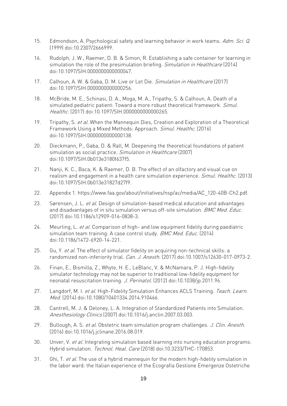- 15. Edmondson, A. Psychological safety and learning behavior in work teams. Adm. Sci. Q. (1999) doi:10.2307/2666999.
- 16. Rudolph, J. W., Raemer, D. B. & Simon, R. Establishing a safe container for learning in simulation the role of the presimulation briefing. Simulation in Healthcare (2014) doi:10.1097/SIH.0000000000000047.
- 17. Calhoun, A. W. & Gaba, D. M. Live or Let Die. Simulation in Healthcare (2017) doi:10.1097/SIH.0000000000000256.
- 18. McBride, M. E., Schinasi, D. A., Moga, M. A., Tripathy, S. & Calhoun, A. Death of a simulated pediatric patient: Toward a more robust theoretical framework. Simul. Healthc. (2017) doi:10.1097/SIH.0000000000000265.
- 19. Tripathy, S. et al. When the Mannequin Dies, Creation and Exploration of a Theoretical Framework Using a Mixed Methods: Approach. Simul. Healthc. (2016) doi:10.1097/SIH.0000000000000138.
- 20. Dieckmann, P., Gaba, D. & Rall, M. Deepening the theoretical foundations of patient simulation as social practice. Simulation in Healthcare (2007) doi:10.1097/SIH.0b013e3180f637f5.
- 21. Nanji, K. C., Baca, K. & Raemer, D. B. The effect of an olfactory and visual cue on realism and engagement in a health care simulation experience. Simul. Healthc. (2013) doi:10.1097/SIH.0b013e31827d27f9.
- 22. Appendix 1. https://www.faa.gov/about/initiatives/nsp/ac/media/AC\_120-40B-Ch2.pdf.
- 23. Sørensen, J. L. et al. Design of simulation-based medical education and advantages and disadvantages of in situ simulation versus off-site simulation. BMC Med. Educ. (2017) doi:10.1186/s12909-016-0838-3.
- 24. Meurling, L. et al. Comparison of high- and low equipment fidelity during paediatric simulation team training: A case control study. BMC Med. Educ. (2014) doi:10.1186/1472-6920-14-221.
- 25. Gu, Y. et al. The effect of simulator fidelity on acquiring non-technical skills: a randomized non-inferiority trial. Can. J. Anesth. (2017) doi:10.1007/s12630-017-0973-2.
- 26. Finan, E., Bismilla, Z., Whyte, H. E., LeBlanc, V. & McNamara, P. J. High-fidelity simulator technology may not be superior to traditional low-fidelity equipment for neonatal resuscitation training. J. Perinatol. (2012) doi:10.1038/jp.2011.96.
- 27. Langdorf, M. I. et al. High-Fidelity Simulation Enhances ACLS Training. Teach. Learn. Med. (2014) doi:10.1080/10401334.2014.910466.
- 28. Cantrell, M. J. & Deloney, L. A. Integration of Standardized Patients into Simulation. Anesthesiology Clinics (2007) doi:10.1016/j.anclin.2007.03.003.
- 29. Bullough, A. S. et al. Obstetric team simulation program challenges. J. Clin. Anesth. (2016) doi:10.1016/j.jclinane.2016.08.019.
- 30. Unver, V. et al. Integrating simulation based learning into nursing education programs: Hybrid simulation. Technol. Heal. Care (2018) doi:10.3233/THC-170853.
- 31. Ghi, T. et al. The use of a hybrid mannequin for the modern high-fidelity simulation in the labor ward: the Italian experience of the Ecografia Gestione Emergenze Ostetriche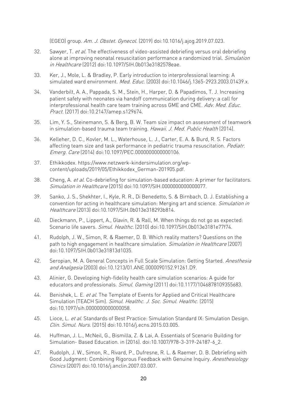(EGEO) group. Am. J. Obstet. Gynecol. (2019) doi:10.1016/j.ajog.2019.07.023.

- 32. Sawyer, T. et al. The effectiveness of video-assisted debriefing versus oral debriefing alone at improving neonatal resuscitation performance a randomized trial. Simulation in Healthcare (2012) doi:10.1097/SIH.0b013e3182578eae.
- 33. Ker, J., Mole, L. & Bradley, P. Early introduction to interprofessional learning: A simulated ward environment. Med. Educ. (2003) doi:10.1046/j.1365-2923.2003.01439.x.
- 34. Vanderbilt, A. A., Pappada, S. M., Stein, H., Harper, D. & Papadimos, T. J. Increasing patient safety with neonates via handoff communication during delivery: a call for interprofessional health care team training across GME and CME. Adv. Med. Educ. Pract. (2017) doi:10.2147/amep.s129674.
- 35. Lim, Y. S., Steinemann, S. & Berg, B. W. Team size impact on assessment of teamwork in simulation-based trauma team training. Hawaii. J. Med. Public Health (2014).
- 36. Kelleher, D. C., Kovler, M. L., Waterhouse, L. J., Carter, E. A. & Burd, R. S. Factors affecting team size and task performance in pediatric trauma resuscitation. Pediatr. Emerg. Care (2014) doi:10.1097/PEC.0000000000000106.
- 37. Ethikkodex. https://www.netzwerk-kindersimulation.org/wpcontent/uploads/2019/05/Ethikkodex\_German-201905.pdf.
- 38. Cheng, A. et al. Co-debriefing for simulation-based education: A primer for facilitators. Simulation in Healthcare (2015) doi:10.1097/SIH.0000000000000077.
- 39. Sanko, J. S., Shekhter, I., Kyle, R. R., Di Benedetto, S. & Birnbach, D. J. Establishing a convention for acting in healthcare simulation: Merging art and science. Simulation in Healthcare (2013) doi:10.1097/SIH.0b013e318293b814.
- 40. Dieckmann, P., Lippert, A., Glavin, R. & Rall, M. When things do not go as expected: Scenario life savers. Simul. Healthc. (2010) doi:10.1097/SIH.0b013e3181e77f74.
- 41. Rudolph, J. W., Simon, R. & Raemer, D. B. Which reality matters? Questions on the path to high engagement in healthcare simulation. Simulation in Healthcare (2007) doi:10.1097/SIH.0b013e31813d1035.
- 42. Seropian, M. A. General Concepts in Full Scale Simulation: Getting Started. Anesthesia and Analgesia (2003) doi:10.1213/01.ANE.0000090152.91261.D9.
- 43. Alinier, G. Developing high-fidelity health care simulation scenarios: A guide for educators and professionals. Simul. Gaming (2011) doi:10.1177/1046878109355683.
- 44. Benishek, L. E. et al. The Template of Events for Applied and Critical Healthcare Simulation (TEACH Sim). Simul. Healthc. J. Soc. Simul. Healthc. (2015) doi:10.1097/sih.0000000000000058.
- 45. Lioce, L. et al. Standards of Best Practice: Simulation Standard IX: Simulation Design. Clin. Simul. Nurs. (2015) doi:10.1016/j.ecns.2015.03.005.
- 46. Huffman, J. L., McNeil, G., Bismilla, Z. & Lai, A. Essentials of Scenario Building for Simulation- Based Education. in (2016). doi:10.1007/978-3-319-24187-6\_2.
- 47. Rudolph, J. W., Simon, R., Rivard, P., Dufresne, R. L. & Raemer, D. B. Debriefing with Good Judgment: Combining Rigorous Feedback with Genuine Inquiry. Anesthesiology Clinics (2007) doi:10.1016/j.anclin.2007.03.007.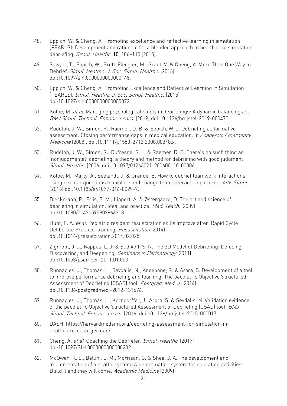- 48. Eppich, W. & Cheng, A. Promoting excellence and reflective learning in simulation (PEARLS): Development and rationale for a blended approach to health care simulation debriefing. Simul. Healthc. 10, 106–115 (2015).
- 49. Sawyer, T., Eppich, W., Brett-Fleegler, M., Grant, V. & Cheng, A. More Than One Way to Debrief. Simul. Healthc. J. Soc. Simul. Healthc. (2016) doi:10.1097/sih.0000000000000148.
- 50. Eppich, W. & Cheng, A. Promoting Excellence and Reflective Learning in Simulation (PEARLS). Simul. Healthc. J. Soc. Simul. Healthc. (2015) doi:10.1097/sih.0000000000000072.
- 51. Kolbe, M. et al. Managing psychological safety in debriefings: A dynamic balancing act. BMJ Simul. Technol. Enhanc. Learn. (2019) doi:10.1136/bmjstel-2019-000470.
- 52. Rudolph, J. W., Simon, R., Raemer, D. B. & Eppich, W. J. Debriefing as formative assessment: Closing performance gaps in medical education. in Academic Emergency Medicine (2008). doi:10.1111/j.1553-2712.2008.00248.x.
- 53. Rudolph, J. W., Simon, R., Dufresne, R. L. & Raemer, D. B. There's no such thing as 'nonjudgmental' debriefing: a theory and method for debriefing with good judgment. Simul. Healthc. (2006) doi:10.1097/01266021-200600110-00006.
- 54. Kolbe, M., Marty, A., Seelandt, J. & Grande, B. How to debrief teamwork interactions: using circular questions to explore and change team interaction patterns. Adv. Simul. (2016) doi:10.1186/s41077-016-0029-7.
- 55. Dieckmann, P., Friis, S. M., Lippert, A. & Østergaard, D. The art and science of debriefing in simulation: Ideal and practice. Med. Teach. (2009) doi:10.1080/01421590902866218.
- 56. Hunt, E. A. et al. Pediatric resident resuscitation skills improve after 'Rapid Cycle Deliberate Practice' training. Resuscitation (2014) doi:10.1016/j.resuscitation.2014.02.025.
- 57. Zigmont, J. J., Kappus, L. J. & Sudikoff, S. N. The 3D Model of Debriefing: Defusing, Discovering, and Deepening. Seminars in Perinatology (2011) doi:10.1053/j.semperi.2011.01.003.
- 58. Runnacles, J., Thomas, L., Sevdalis, N., Kneebone, R. & Arora, S. Development of a tool to improve performance debriefing and learning: The paediatric Objective Structured Assessment of Debriefing (OSAD) tool. Postgrad. Med. J. (2014) doi:10.1136/postgradmedj-2012-131676.
- 59. Runnacles, J., Thomas, L., Korndorffer, J., Arora, S. & Sevdalis, N. Validation evidence of the paediatric Objective Structured Assessment of Debriefing (OSAD) tool. BMJ Simul. Technol. Enhanc. Learn. (2016) doi:10.1136/bmjstel-2015-000017.
- 60. DASH. https://harvardmedsim.org/debriefing-assessment-for-simulation-inhealthcare-dash-german/.
- 61. Cheng, A. et al. Coaching the Debriefer. Simul. Healthc. (2017) doi:10.1097/SIH.0000000000000232.
- 62. McOwen, K. S., Bellini, L. M., Morrison, G. & Shea, J. A. The development and implementation of a health-system-wide evaluation system for education activities: Build it and they will come. Academic Medicine (2009)